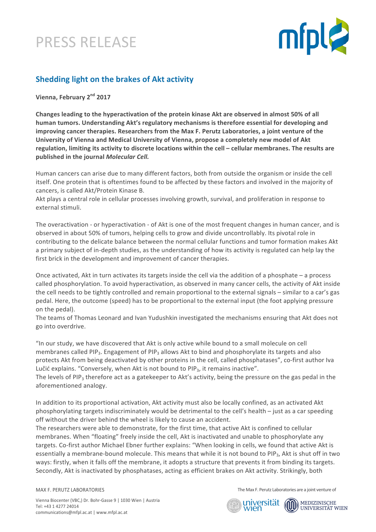



# **Shedding light on the brakes of Akt activity**

**Vienna, February 2nd 2017**

Changes leading to the hyperactivation of the protein kinase Akt are observed in almost 50% of all human tumors. Understanding Akt's regulatory mechanisms is therefore essential for developing and improving cancer therapies. Researchers from the Max F. Perutz Laboratories, a joint venture of the University of Vienna and Medical University of Vienna, propose a completely new model of Akt regulation, limiting its activity to discrete locations within the cell – cellular membranes. The results are published in the journal *Molecular Cell.* 

Human cancers can arise due to many different factors, both from outside the organism or inside the cell itself. One protein that is oftentimes found to be affected by these factors and involved in the majority of cancers, is called Akt/Protein Kinase B.

Akt plays a central role in cellular processes involving growth, survival, and proliferation in response to external stimuli.

The overactivation - or hyperactivation - of Akt is one of the most frequent changes in human cancer, and is observed in about 50% of tumors, helping cells to grow and divide uncontrollably. Its pivotal role in contributing to the delicate balance between the normal cellular functions and tumor formation makes Akt a primary subject of in-depth studies, as the understanding of how its activity is regulated can help lay the first brick in the development and improvement of cancer therapies.

Once activated, Akt in turn activates its targets inside the cell via the addition of a phosphate  $-$  a process called phosphorylation. To avoid hyperactivation, as observed in many cancer cells, the activity of Akt inside the cell needs to be tightly controlled and remain proportional to the external signals – similar to a car's gas pedal. Here, the outcome (speed) has to be proportional to the external input (the foot applying pressure on the pedal).

The teams of Thomas Leonard and Ivan Yudushkin investigated the mechanisms ensuring that Akt does not go into overdrive.

"In our study, we have discovered that Akt is only active while bound to a small molecule on cell membranes called PIP<sub>3</sub>. Engagement of PIP<sub>3</sub> allows Akt to bind and phosphorylate its targets and also protects Akt from being deactivated by other proteins in the cell, called phosphatases", co-first author Iva Lučić explains. "Conversely, when Akt is not bound to  $PIP_3$ , it remains inactive".

The levels of PIP<sub>3</sub> therefore act as a gatekeeper to Akt's activity, being the pressure on the gas pedal in the aforementioned analogy.

In addition to its proportional activation, Akt activity must also be locally confined, as an activated Akt phosphorylating targets indiscriminately would be detrimental to the cell's health - just as a car speeding off without the driver behind the wheel is likely to cause an accident.

The researchers were able to demonstrate, for the first time, that active Akt is confined to cellular membranes. When "floating" freely inside the cell, Akt is inactivated and unable to phosphorylate any targets. Co-first author Michael Ebner further explains: "When looking in cells, we found that active Akt is essentially a membrane-bound molecule. This means that while it is not bound to PIP3. Akt is shut off in two ways: firstly, when it falls off the membrane, it adopts a structure that prevents it from binding its targets. Secondly, Akt is inactivated by phosphatases, acting as efficient brakes on Akt activity. Strikingly, both

MAX F. PERUTZ LABORATORIES

The Max F. Perutz Laboratories are a joint venture of